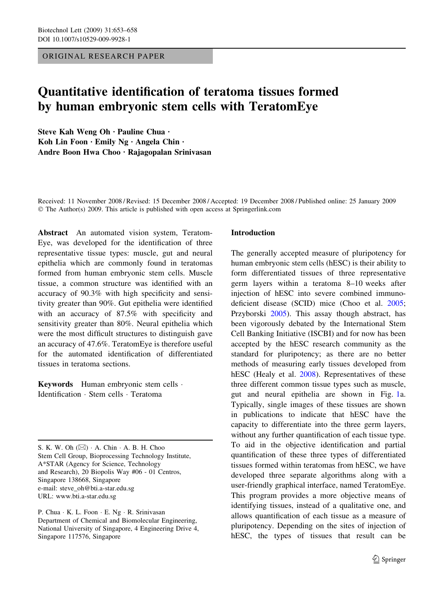ORIGINAL RESEARCH PAPER

# Quantitative identification of teratoma tissues formed by human embryonic stem cells with TeratomEye

Steve Kah Weng Oh · Pauline Chua · Koh Lin Foon  $\cdot$  Emily Ng  $\cdot$  Angela Chin  $\cdot$ Andre Boon Hwa Choo · Rajagopalan Srinivasan

Received: 11 November 2008 / Revised: 15 December 2008 / Accepted: 19 December 2008 / Published online: 25 January 2009  $\odot$  The Author(s) 2009. This article is published with open access at Springerlink.com

Abstract An automated vision system, Teratom-Eye, was developed for the identification of three representative tissue types: muscle, gut and neural epithelia which are commonly found in teratomas formed from human embryonic stem cells. Muscle tissue, a common structure was identified with an accuracy of 90.3% with high specificity and sensitivity greater than 90%. Gut epithelia were identified with an accuracy of 87.5% with specificity and sensitivity greater than 80%. Neural epithelia which were the most difficult structures to distinguish gave an accuracy of 47.6%. TeratomEye is therefore useful for the automated identification of differentiated tissues in teratoma sections.

Keywords Human embryonic stem cells · Identification · Stem cells · Teratoma

S. K. W. Oh  $(\boxtimes)$   $\cdot$  A. Chin  $\cdot$  A. B. H. Choo Stem Cell Group, Bioprocessing Technology Institute, A\*STAR (Agency for Science, Technology and Research), 20 Biopolis Way #06 - 01 Centros, Singapore 138668, Singapore e-mail: steve\_oh@bti.a-star.edu.sg URL: www.bti.a-star.edu.sg

P. Chua · K. L. Foon · E. Ng · R. Srinivasan Department of Chemical and Biomolecular Engineering, National University of Singapore, 4 Engineering Drive 4, Singapore 117576, Singapore

## Introduction

The generally accepted measure of pluripotency for human embryonic stem cells (hESC) is their ability to form differentiated tissues of three representative germ layers within a teratoma 8–10 weeks after injection of hESC into severe combined immunodeficient disease (SCID) mice (Choo et al. 2005; Przyborski 2005). This assay though abstract, has been vigorously debated by the International Stem Cell Banking Initiative (ISCBI) and for now has been accepted by the hESC research community as the standard for pluripotency; as there are no better methods of measuring early tissues developed from hESC (Healy et al. 2008). Representatives of these three different common tissue types such as muscle, gut and neural epithelia are shown in Fig. 1a. Typically, single images of these tissues are shown in publications to indicate that hESC have the capacity to differentiate into the three germ layers, without any further quantification of each tissue type. To aid in the objective identification and partial quantification of these three types of differentiated tissues formed within teratomas from hESC, we have developed three separate algorithms along with a user-friendly graphical interface, named TeratomEye. This program provides a more objective means of identifying tissues, instead of a qualitative one, and allows quantification of each tissue as a measure of pluripotency. Depending on the sites of injection of hESC, the types of tissues that result can be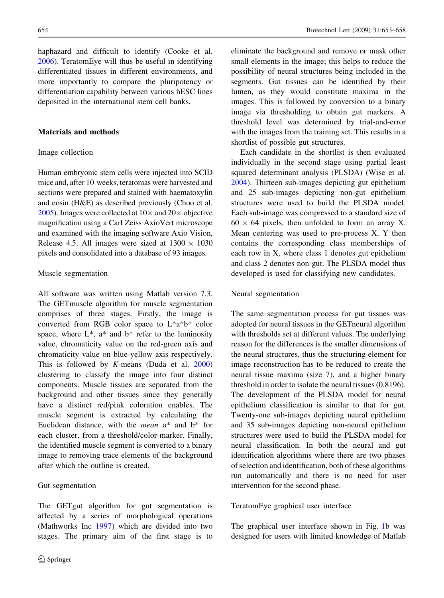haphazard and difficult to identify (Cooke et al. 2006). TeratomEye will thus be useful in identifying differentiated tissues in different environments, and more importantly to compare the pluripotency or differentiation capability between various hESC lines deposited in the international stem cell banks.

# Materials and methods

#### Image collection

Human embryonic stem cells were injected into SCID mice and, after 10 weeks, teratomas were harvested and sections were prepared and stained with haematoxylin and eosin (H&E) as described previously (Choo et al. 2005). Images were collected at  $10\times$  and  $20\times$  objective magnification using a Carl Zeiss AxioVert microscope and examined with the imaging software Axio Vision, Release 4.5. All images were sized at  $1300 \times 1030$ pixels and consolidated into a database of 93 images.

#### Muscle segmentation

All software was written using Matlab version 7.3. The GETmuscle algorithm for muscle segmentation comprises of three stages. Firstly, the image is converted from RGB color space to L\*a\*b\* color space, where  $L^*$ ,  $a^*$  and  $b^*$  refer to the luminosity value, chromaticity value on the red-green axis and chromaticity value on blue-yellow axis respectively. This is followed by  $K$ -means (Duda et al. 2000) clustering to classify the image into four distinct components. Muscle tissues are separated from the background and other tissues since they generally have a distinct red/pink coloration enables. The muscle segment is extracted by calculating the Euclidean distance, with the mean a\* and b\* for each cluster, from a threshold/color-marker. Finally, the identified muscle segment is converted to a binary image to removing trace elements of the background after which the outline is created.

#### Gut segmentation

The GETgut algorithm for gut segmentation is affected by a series of morphological operations (Mathworks Inc 1997) which are divided into two stages. The primary aim of the first stage is to eliminate the background and remove or mask other small elements in the image; this helps to reduce the possibility of neural structures being included in the segments. Gut tissues can be identified by their lumen, as they would constitute maxima in the images. This is followed by conversion to a binary image via thresholding to obtain gut markers. A threshold level was determined by trial-and-error with the images from the training set. This results in a shortlist of possible gut structures.

Each candidate in the shortlist is then evaluated individually in the second stage using partial least squared determinant analysis (PLSDA) (Wise et al. 2004). Thirteen sub-images depicting gut epithelium and 25 sub-images depicting non-gut epithelium structures were used to build the PLSDA model. Each sub-image was compressed to a standard size of  $60 \times 64$  pixels, then unfolded to form an array X. Mean centering was used to pre-process X. Y then contains the corresponding class memberships of each row in X, where class 1 denotes gut epithelium and class 2 denotes non-gut. The PLSDA model thus developed is used for classifying new candidates.

#### Neural segmentation

The same segmentation process for gut tissues was adopted for neural tissues in the GETneural algorithm with thresholds set at different values. The underlying reason for the differences is the smaller dimensions of the neural structures, thus the structuring element for image reconstruction has to be reduced to create the neural tissue maxima (size 7), and a higher binary threshold in order to isolate the neural tissues (0.8196). The development of the PLSDA model for neural epithelium classification is similar to that for gut. Twenty-one sub-images depicting neural epithelium and 35 sub-images depicting non-neural epithelium structures were used to build the PLSDA model for neural classification. In both the neural and gut identification algorithms where there are two phases of selection and identification, both of these algorithms run automatically and there is no need for user intervention for the second phase.

#### TeratomEye graphical user interface

The graphical user interface shown in Fig. 1b was designed for users with limited knowledge of Matlab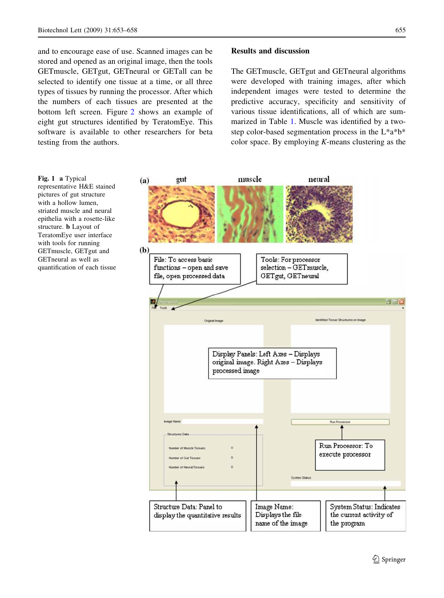and to encourage ease of use. Scanned images can be stored and opened as an original image, then the tools GETmuscle, GETgut, GETneural or GETall can be selected to identify one tissue at a time, or all three types of tissues by running the processor. After which the numbers of each tissues are presented at the bottom left screen. Figure 2 shows an example of eight gut structures identified by TeratomEye. This software is available to other researchers for beta testing from the authors.

# Results and discussion

The GETmuscle, GETgut and GETneural algorithms were developed with training images, after which independent images were tested to determine the predictive accuracy, specificity and sensitivity of various tissue identifications, all of which are summarized in Table 1. Muscle was identified by a twostep color-based segmentation process in the L\*a\*b\* color space. By employing  $K$ -means clustering as the

muscle neural gut  $(a)$  $(b)$ File: To access basic Tools: For processor functions - open and save selection - GETmuscle, file, open processed data GETgut, GETneural 日回区 klentified Tissue Structures on Image Display Panels: Left Axes - Displays original image. Right Axes - Displays processed image Run Processor: To execute processor Structure Data: Panel to Image Name: System Status: Indicates Displays the file the current activity of display the quantitative results name of the image the program

Fig. 1 a Typical representative H&E stained pictures of gut structure with a hollow lumen, striated muscle and neural epithelia with a rosette-like structure. b Layout of TeratomEye user interface with tools for running GETmuscle, GETgut and GETneural as well as quantification of each tissue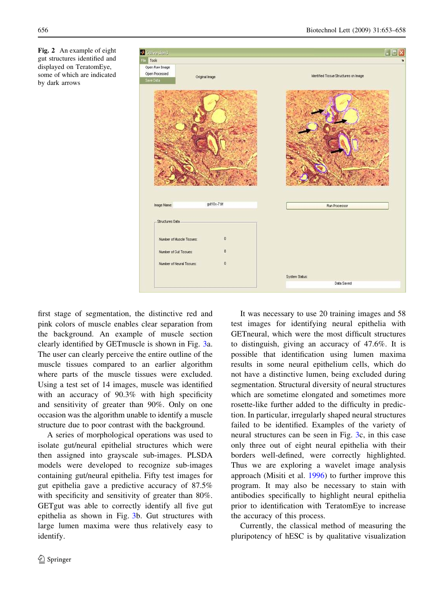

Fig. 2 An example of eight gut structures identified and displayed on TeratomEye, some of which are indicated by dark arrows

first stage of segmentation, the distinctive red and pink colors of muscle enables clear separation from the background. An example of muscle section clearly identified by GETmuscle is shown in Fig. 3a. The user can clearly perceive the entire outline of the muscle tissues compared to an earlier algorithm where parts of the muscle tissues were excluded. Using a test set of 14 images, muscle was identified with an accuracy of 90.3% with high specificity and sensitivity of greater than 90%. Only on one occasion was the algorithm unable to identify a muscle structure due to poor contrast with the background.

A series of morphological operations was used to isolate gut/neural epithelial structures which were then assigned into grayscale sub-images. PLSDA models were developed to recognize sub-images containing gut/neural epithelia. Fifty test images for gut epithelia gave a predictive accuracy of 87.5% with specificity and sensitivity of greater than 80%. GETgut was able to correctly identify all five gut epithelia as shown in Fig. 3b. Gut structures with large lumen maxima were thus relatively easy to identify.

It was necessary to use 20 training images and 58 test images for identifying neural epithelia with GETneural, which were the most difficult structures to distinguish, giving an accuracy of 47.6%. It is possible that identification using lumen maxima results in some neural epithelium cells, which do not have a distinctive lumen, being excluded during segmentation. Structural diversity of neural structures which are sometime elongated and sometimes more rosette-like further added to the difficulty in prediction. In particular, irregularly shaped neural structures failed to be identified. Examples of the variety of neural structures can be seen in Fig. 3c, in this case only three out of eight neural epithelia with their borders well-defined, were correctly highlighted. Thus we are exploring a wavelet image analysis approach (Misiti et al. 1996) to further improve this program. It may also be necessary to stain with antibodies specifically to highlight neural epithelia prior to identification with TeratomEye to increase the accuracy of this process.

Currently, the classical method of measuring the pluripotency of hESC is by qualitative visualization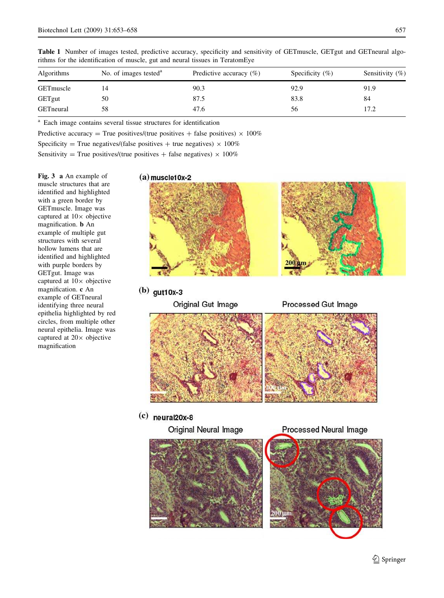| No. of images tested <sup>a</sup> | Predictive accuracy $(\%)$ | Specificity $(\%)$ | Sensitivity $(\% )$ |
|-----------------------------------|----------------------------|--------------------|---------------------|
|                                   | 90.3                       | 92.9               | 91.9                |
| 50                                | 87.5                       | 83.8               | 84                  |
| 58                                | 47.6                       | 56                 | 17.2                |
|                                   |                            |                    |                     |

Table 1 Number of images tested, predictive accuracy, specificity and sensitivity of GETmuscle, GETgut and GETneural algorithms for the identification of muscle, gut and neural tissues in TeratomEye

a Each image contains several tissue structures for identification

Predictive accuracy = True positives/(true positives + false positives)  $\times$  100%

Specificity = True negatives/(false positives + true negatives)  $\times$  100%

Sensitivity = True positives/(true positives + false negatives)  $\times$  100%

Fig. 3 a An example of muscle structures that are identified and highlighted with a green border by GETmuscle. Image was captured at  $10\times$  objective magnification. b An example of multiple gut structures with several hollow lumens that are identified and highlighted with purple borders by GETgut. Image was captured at  $10\times$  objective magnification. c An example of GETneural identifying three neural epithelia highlighted by red circles, from multiple other neural epithelia. Image was captured at  $20 \times$  objective magnification



# $(b)$  gut10x-3

Original Gut Image

Processed Gut Image



 $(c)$  neural20x-8

Original Neural Image

**Processed Neural Image**